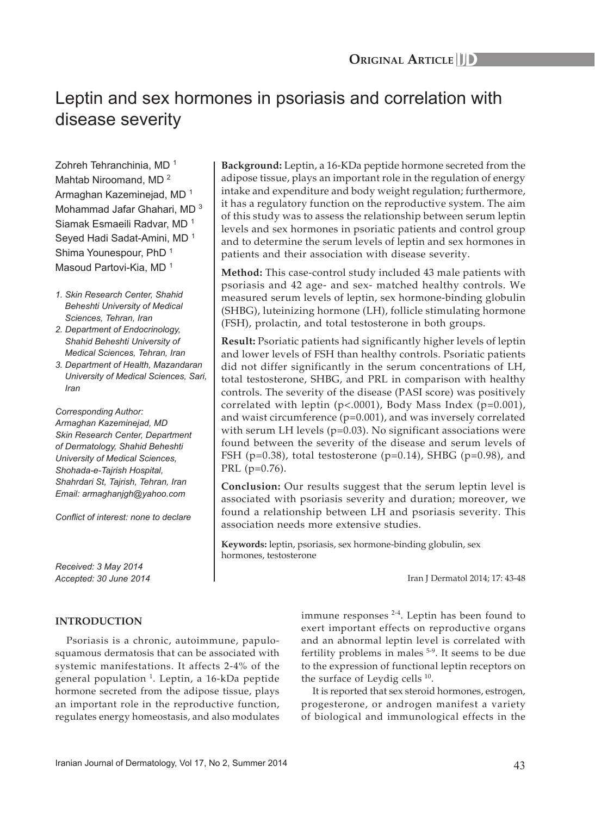# Leptin and sex hormones in psoriasis and correlation with disease severity

Zohreh Tehranchinia, MD<sup>1</sup> Mahtab Niroomand, MD<sup>2</sup> Armaghan Kazeminejad, MD<sup>1</sup> Mohammad Jafar Ghahari, MD<sup>3</sup> Siamak Esmaeili Radvar, MD <sup>1</sup> Seyed Hadi Sadat-Amini, MD<sup>1</sup> Shima Younespour, PhD<sup>1</sup> Masoud Partovi-Kia, MD<sup>1</sup>

- *1. Skin Research Center, Shahid Beheshti University of Medical Sciences, Tehran, Iran*
- *2. Department of Endocrinology, Shahid Beheshti University of Medical Sciences, Tehran, Iran*
- *3. Department of Health, Mazandaran University of Medical Sciences, Sari, Iran*

*Corresponding Author: Armaghan Kazeminejad, MD Skin Research Center, Department of Dermatology, Shahid Beheshti University of Medical Sciences, Shohada-e-Tajrish Hospital, Shahrdari St, Tajrish, Tehran, Iran Email: armaghanjgh@yahoo.com*

*Conflict of interest: none to declare*

*Received: 3 May 2014 Accepted: 30 June 2014*

# **Background:** Leptin, a 16-KDa peptide hormone secreted from the adipose tissue, plays an important role in the regulation of energy intake and expenditure and body weight regulation; furthermore, it has a regulatory function on the reproductive system. The aim of this study was to assess the relationship between serum leptin levels and sex hormones in psoriatic patients and control group and to determine the serum levels of leptin and sex hormones in patients and their association with disease severity.

**Method:** This case-control study included 43 male patients with psoriasis and 42 age- and sex- matched healthy controls. We measured serum levels of leptin, sex hormone-binding globulin (SHBG), luteinizing hormone (LH), follicle stimulating hormone (FSH), prolactin, and total testosterone in both groups.

**Result:** Psoriatic patients had significantly higher levels of leptin and lower levels of FSH than healthy controls. Psoriatic patients did not differ significantly in the serum concentrations of LH, total testosterone, SHBG, and PRL in comparison with healthy controls. The severity of the disease (PASI score) was positively correlated with leptin  $(p<.0001)$ , Body Mass Index  $(p=0.001)$ , and waist circumference (p=0.001), and was inversely correlated with serum LH levels (p=0.03). No significant associations were found between the severity of the disease and serum levels of FSH (p=0.38), total testosterone (p=0.14), SHBG (p=0.98), and PRL (p=0.76).

**Conclusion:** Our results suggest that the serum leptin level is associated with psoriasis severity and duration; moreover, we found a relationship between LH and psoriasis severity. This association needs more extensive studies.

**Keywords:** leptin, psoriasis, sex hormone-binding globulin, sex hormones, testosterone

Iran J Dermatol 2014; 17: 43-48

# **INTRODUCTION**

Psoriasis is a chronic, autoimmune, papulosquamous dermatosis that can be associated with systemic manifestations. It affects 2-4% of the general population  $1$ . Leptin, a 16-kDa peptide hormone secreted from the adipose tissue, plays an important role in the reproductive function, regulates energy homeostasis, and also modulates immune responses  $2-4$ . Leptin has been found to exert important effects on reproductive organs and an abnormal leptin level is correlated with fertility problems in males 5-9. It seems to be due to the expression of functional leptin receptors on the surface of Leydig cells  $10$ .

It is reported that sex steroid hormones, estrogen, progesterone, or androgen manifest a variety of biological and immunological effects in the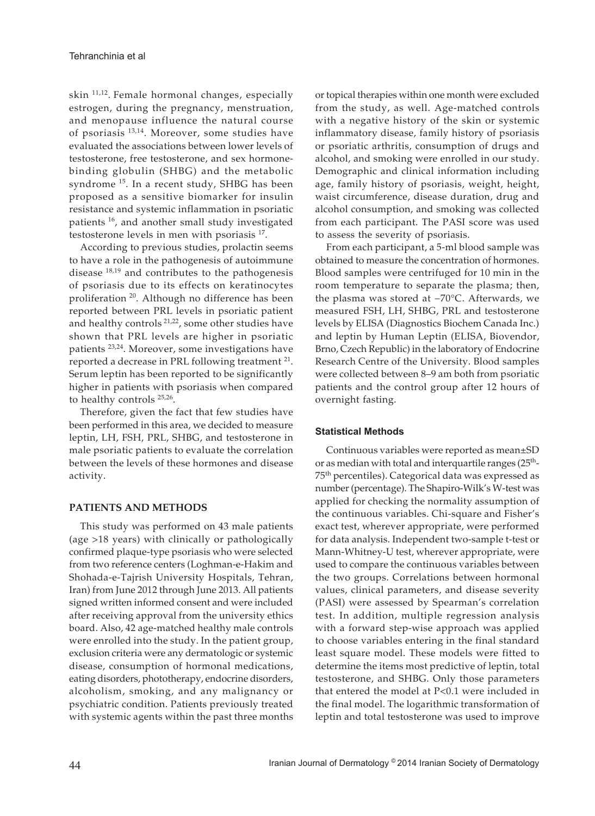skin 11,12. Female hormonal changes, especially estrogen, during the pregnancy, menstruation, and menopause influence the natural course of psoriasis 13,14. Moreover, some studies have evaluated the associations between lower levels of testosterone, free testosterone, and sex hormonebinding globulin (SHBG) and the metabolic syndrome<sup>15</sup>. In a recent study, SHBG has been proposed as a sensitive biomarker for insulin resistance and systemic inflammation in psoriatic patients<sup>16</sup>, and another small study investigated testosterone levels in men with psoriasis 17.

According to previous studies, prolactin seems to have a role in the pathogenesis of autoimmune disease 18,19 and contributes to the pathogenesis of psoriasis due to its effects on keratinocytes proliferation <sup>20</sup>. Although no difference has been reported between PRL levels in psoriatic patient and healthy controls<sup>21,22</sup>, some other studies have shown that PRL levels are higher in psoriatic patients 23,24. Moreover, some investigations have reported a decrease in PRL following treatment <sup>21</sup>. Serum leptin has been reported to be significantly higher in patients with psoriasis when compared to healthy controls <sup>25,26</sup>.

Therefore, given the fact that few studies have been performed in this area, we decided to measure leptin, LH, FSH, PRL, SHBG, and testosterone in male psoriatic patients to evaluate the correlation between the levels of these hormones and disease activity.

# **PATIENTS AND METHODS**

This study was performed on 43 male patients (age >18 years) with clinically or pathologically confirmed plaque-type psoriasis who were selected from two reference centers (Loghman-e-Hakim and Shohada-e-Tajrish University Hospitals, Tehran, Iran) from June 2012 through June 2013. All patients signed written informed consent and were included after receiving approval from the university ethics board. Also, 42 age-matched healthy male controls were enrolled into the study. In the patient group, exclusion criteria were any dermatologic or systemic disease, consumption of hormonal medications, eating disorders, phototherapy, endocrine disorders, alcoholism, smoking, and any malignancy or psychiatric condition. Patients previously treated with systemic agents within the past three months

or topical therapies within one month were excluded from the study, as well. Age-matched controls with a negative history of the skin or systemic inflammatory disease, family history of psoriasis or psoriatic arthritis, consumption of drugs and alcohol, and smoking were enrolled in our study. Demographic and clinical information including age, family history of psoriasis, weight, height, waist circumference, disease duration, drug and alcohol consumption, and smoking was collected from each participant. The PASI score was used to assess the severity of psoriasis.

From each participant, a 5-ml blood sample was obtained to measure the concentration of hormones. Blood samples were centrifuged for 10 min in the room temperature to separate the plasma; then, the plasma was stored at −70°C. Afterwards, we measured FSH, LH, SHBG, PRL and testosterone levels by ELISA (Diagnostics Biochem Canada Inc.) and leptin by Human Leptin (ELISA, Biovendor, Brno, Czech Republic) in the laboratory of Endocrine Research Centre of the University. Blood samples were collected between 8–9 am both from psoriatic patients and the control group after 12 hours of overnight fasting.

# **Statistical Methods**

Continuous variables were reported as mean±SD or as median with total and interquartile ranges  $(25<sup>th</sup>-$ 75th percentiles). Categorical data was expressed as number (percentage). The Shapiro-Wilk's W-test was applied for checking the normality assumption of the continuous variables. Chi-square and Fisher's exact test, wherever appropriate, were performed for data analysis. Independent two-sample t-test or Mann-Whitney-U test, wherever appropriate, were used to compare the continuous variables between the two groups. Correlations between hormonal values, clinical parameters, and disease severity (PASI) were assessed by Spearman's correlation test. In addition, multiple regression analysis with a forward step-wise approach was applied to choose variables entering in the final standard least square model. These models were fitted to determine the items most predictive of leptin, total testosterone, and SHBG. Only those parameters that entered the model at P<0.1 were included in the final model. The logarithmic transformation of leptin and total testosterone was used to improve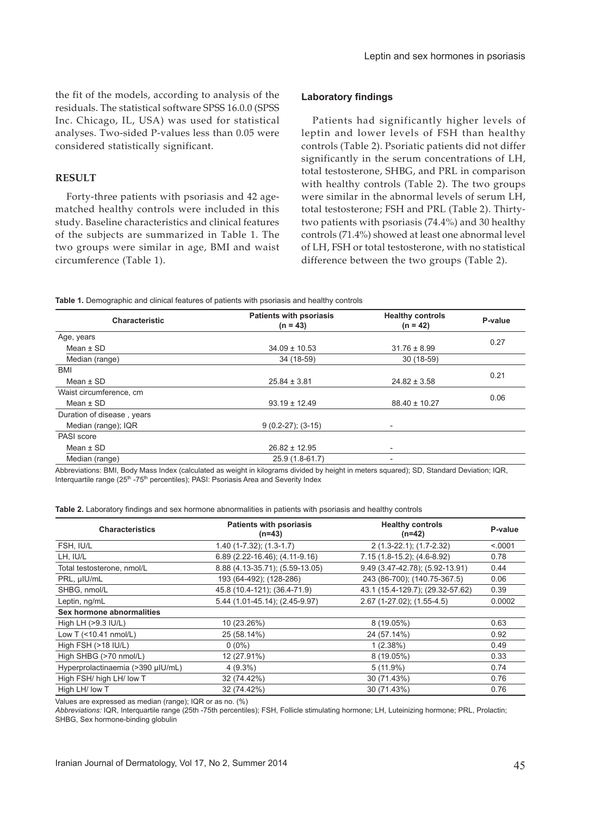the fit of the models, according to analysis of the residuals. The statistical software SPSS 16.0.0 (SPSS Inc. Chicago, IL, USA) was used for statistical analyses. Two-sided P-values less than 0.05 were considered statistically significant.

# **RESULT**

Forty-three patients with psoriasis and 42 agematched healthy controls were included in this study. Baseline characteristics and clinical features of the subjects are summarized in Table 1. The two groups were similar in age, BMI and waist circumference (Table 1).

#### **Laboratory findings**

Patients had significantly higher levels of leptin and lower levels of FSH than healthy controls (Table 2). Psoriatic patients did not differ significantly in the serum concentrations of LH, total testosterone, SHBG, and PRL in comparison with healthy controls (Table 2). The two groups were similar in the abnormal levels of serum LH, total testosterone; FSH and PRL (Table 2). Thirtytwo patients with psoriasis (74.4%) and 30 healthy controls (71.4%) showed at least one abnormal level of LH, FSH or total testosterone, with no statistical difference between the two groups (Table 2).

**Table 1.** Demographic and clinical features of patients with psoriasis and healthy controls

| <b>Characteristic</b>      | <b>Patients with psoriasis</b><br>$(n = 43)$ | <b>Healthy controls</b><br>$(n = 42)$ | P-value |  |
|----------------------------|----------------------------------------------|---------------------------------------|---------|--|
| Age, years                 |                                              |                                       |         |  |
| Mean $\pm$ SD              | $34.09 \pm 10.53$                            | $31.76 \pm 8.99$                      | 0.27    |  |
| Median (range)             | 34 (18-59)                                   | 30 (18-59)                            |         |  |
| <b>BMI</b>                 |                                              |                                       |         |  |
| Mean $\pm$ SD              | $25.84 \pm 3.81$                             | $24.82 \pm 3.58$                      | 0.21    |  |
| Waist circumference, cm    |                                              |                                       |         |  |
| Mean $\pm$ SD              | $93.19 \pm 12.49$                            | $88.40 \pm 10.27$                     | 0.06    |  |
| Duration of disease, years |                                              |                                       |         |  |
| Median (range); IQR        | $9(0.2-27); (3-15)$                          | $\overline{\phantom{0}}$              |         |  |
| PASI score                 |                                              |                                       |         |  |
| Mean $\pm$ SD              | $26.82 \pm 12.95$                            | $\overline{\phantom{0}}$              |         |  |
| Median (range)             | 25.9 (1.8-61.7)                              | ۰                                     |         |  |

Abbreviations: BMI, Body Mass Index (calculated as weight in kilograms divided by height in meters squared); SD, Standard Deviation; IQR, Interquartile range (25<sup>th</sup> -75<sup>th</sup> percentiles); PASI: Psoriasis Area and Severity Index

**Table 2.** Laboratory findings and sex hormone abnormalities in patients with psoriasis and healthy controls

| <b>Characteristics</b>            | <b>Patients with psoriasis</b><br>(n=43) | <b>Healthy controls</b><br>$(n=42)$ | P-value |
|-----------------------------------|------------------------------------------|-------------------------------------|---------|
| FSH, IU/L                         | $1.40$ (1-7.32); (1.3-1.7)               | 2 (1.3-22.1); (1.7-2.32)            | < 0001  |
| LH, IU/L                          | 6.89 (2.22-16.46); (4.11-9.16)           | $7.15(1.8-15.2)$ ; $(4.6-8.92)$     | 0.78    |
| Total testosterone, nmol/L        | 8.88 (4.13-35.71); (5.59-13.05)          | 9.49 (3.47-42.78); (5.92-13.91)     | 0.44    |
| PRL, µIU/mL                       | 193 (64-492); (128-286)                  | 243 (86-700); (140.75-367.5)        | 0.06    |
| SHBG, nmol/L                      | 45.8 (10.4-121); (36.4-71.9)             | 43.1 (15.4-129.7); (29.32-57.62)    | 0.39    |
| Leptin, ng/mL                     | $5.44$ (1.01-45.14); (2.45-9.97)         | 2.67 (1-27.02); (1.55-4.5)          | 0.0002  |
| Sex hormone abnormalities         |                                          |                                     |         |
| High LH $(>9.3$ IU/L)             | 10 (23.26%)                              | $8(19.05\%)$                        | 0.63    |
| Low T (<10.41 nmol/L)             | 25 (58.14%)                              | 24 (57.14%)                         | 0.92    |
| High FSH (>18 IU/L)               | $0(0\%)$                                 | 1(2.38%)                            | 0.49    |
| High SHBG (>70 nmol/L)            | 12 (27.91%)                              | 8 (19.05%)                          | 0.33    |
| Hyperprolactinaemia (>390 µIU/mL) | $4(9.3\%)$                               | $5(11.9\%)$                         | 0.74    |
| High FSH/ high LH/ low T          | 32 (74.42%)                              | 30 (71.43%)                         | 0.76    |
| High LH/ low T                    | 32 (74.42%)                              | 30 (71.43%)                         | 0.76    |

Values are expressed as median (range); IQR or as no. (%)

*Abbreviations:* IQR, Interquartile range (25th -75th percentiles); FSH, Follicle stimulating hormone; LH, Luteinizing hormone; PRL, Prolactin; SHBG, Sex hormone-binding globulin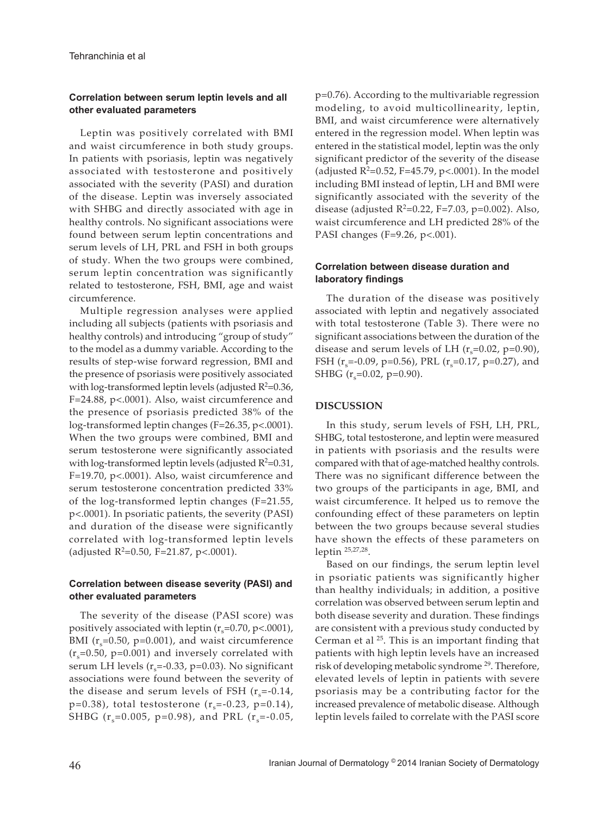# **Correlation between serum leptin levels and all other evaluated parameters**

Leptin was positively correlated with BMI and waist circumference in both study groups. In patients with psoriasis, leptin was negatively associated with testosterone and positively associated with the severity (PASI) and duration of the disease. Leptin was inversely associated with SHBG and directly associated with age in healthy controls. No significant associations were found between serum leptin concentrations and serum levels of LH, PRL and FSH in both groups of study. When the two groups were combined, serum leptin concentration was significantly related to testosterone, FSH, BMI, age and waist circumference.

Multiple regression analyses were applied including all subjects (patients with psoriasis and healthy controls) and introducing "group of study" to the model as a dummy variable. According to the results of step-wise forward regression, BMI and the presence of psoriasis were positively associated with  $log$ -transformed leptin levels (adjusted  $R^2$ =0.36, F=24.88, p<.0001). Also, waist circumference and the presence of psoriasis predicted 38% of the log-transformed leptin changes (F=26.35, p<.0001). When the two groups were combined, BMI and serum testosterone were significantly associated with  $log$ -transformed leptin levels (adjusted  $R^2 = 0.31$ , F=19.70, p<.0001). Also, waist circumference and serum testosterone concentration predicted 33% of the log-transformed leptin changes (F=21.55, p<.0001). In psoriatic patients, the severity (PASI) and duration of the disease were significantly correlated with log-transformed leptin levels (adjusted  $R^2$ =0.50, F=21.87, p<.0001).

# **Correlation between disease severity (PASI) and other evaluated parameters**

The severity of the disease (PASI score) was positively associated with leptin  $(r_s=0.70, p<.0001)$ , BMI ( $r_s$ =0.50, p=0.001), and waist circumference  $(r_s=0.50, p=0.001)$  and inversely correlated with serum LH levels ( $r_s$ =-0.33, p=0.03). No significant associations were found between the severity of the disease and serum levels of FSH  $(r_s=0.14,$ p=0.38), total testosterone  $(r_s=-0.23, p=0.14)$ , SHBG ( $r_s$ =0.005, p=0.98), and PRL ( $r_s$ =-0.05,

p=0.76). According to the multivariable regression modeling, to avoid multicollinearity, leptin, BMI, and waist circumference were alternatively entered in the regression model. When leptin was entered in the statistical model, leptin was the only significant predictor of the severity of the disease (adjusted  $R^2$ =0.52, F=45.79, p<.0001). In the model including BMI instead of leptin, LH and BMI were significantly associated with the severity of the disease (adjusted  $R^2 = 0.22$ , F=7.03, p=0.002). Also, waist circumference and LH predicted 28% of the PASI changes (F=9.26, p<.001).

# **Correlation between disease duration and laboratory findings**

The duration of the disease was positively associated with leptin and negatively associated with total testosterone (Table 3). There were no significant associations between the duration of the disease and serum levels of LH  $(r_s=0.02, p=0.90)$ , FSH ( $r_s$ =-0.09, p=0.56), PRL ( $r_s$ =0.17, p=0.27), and SHBG  $(r_s=0.02, p=0.90)$ .

### **DISCUSSION**

In this study, serum levels of FSH, LH, PRL, SHBG, total testosterone, and leptin were measured in patients with psoriasis and the results were compared with that of age-matched healthy controls. There was no significant difference between the two groups of the participants in age, BMI, and waist circumference. It helped us to remove the confounding effect of these parameters on leptin between the two groups because several studies have shown the effects of these parameters on leptin 25,27,28.

Based on our findings, the serum leptin level in psoriatic patients was significantly higher than healthy individuals; in addition, a positive correlation was observed between serum leptin and both disease severity and duration. These findings are consistent with a previous study conducted by Cerman et al  $25$ . This is an important finding that patients with high leptin levels have an increased risk of developing metabolic syndrome<sup>29</sup>. Therefore, elevated levels of leptin in patients with severe psoriasis may be a contributing factor for the increased prevalence of metabolic disease. Although leptin levels failed to correlate with the PASI score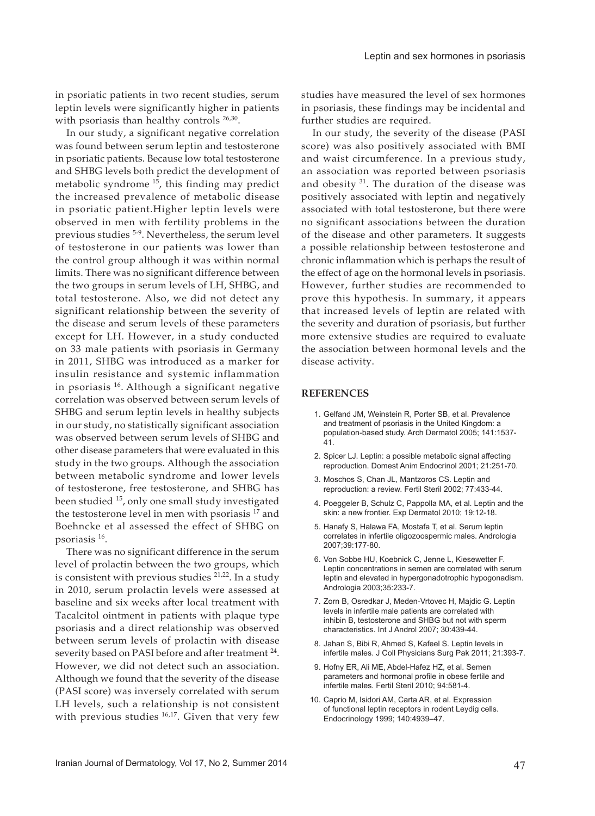in psoriatic patients in two recent studies, serum leptin levels were significantly higher in patients with psoriasis than healthy controls <sup>26,30</sup>.

In our study, a significant negative correlation was found between serum leptin and testosterone in psoriatic patients. Because low total testosterone and SHBG levels both predict the development of metabolic syndrome<sup>15</sup>, this finding may predict the increased prevalence of metabolic disease in psoriatic patient.Higher leptin levels were observed in men with fertility problems in the previous studies 5-9. Nevertheless, the serum level of testosterone in our patients was lower than the control group although it was within normal limits. There was no significant difference between the two groups in serum levels of LH, SHBG, and total testosterone. Also, we did not detect any significant relationship between the severity of the disease and serum levels of these parameters except for LH. However, in a study conducted on 33 male patients with psoriasis in Germany in 2011, SHBG was introduced as a marker for insulin resistance and systemic inflammation in psoriasis 16. Although a significant negative correlation was observed between serum levels of SHBG and serum leptin levels in healthy subjects in our study, no statistically significant association was observed between serum levels of SHBG and other disease parameters that were evaluated in this study in the two groups. Although the association between metabolic syndrome and lower levels of testosterone, free testosterone, and SHBG has been studied <sup>15</sup>, only one small study investigated the testosterone level in men with psoriasis<sup>17</sup> and Boehncke et al assessed the effect of SHBG on psoriasis 16.

There was no significant difference in the serum level of prolactin between the two groups, which is consistent with previous studies  $21,22$ . In a study in 2010, serum prolactin levels were assessed at baseline and six weeks after local treatment with Tacalcitol ointment in patients with plaque type psoriasis and a direct relationship was observed between serum levels of prolactin with disease severity based on PASI before and after treatment <sup>24</sup>. However, we did not detect such an association. Although we found that the severity of the disease (PASI score) was inversely correlated with serum LH levels, such a relationship is not consistent with previous studies  $16,17$ . Given that very few

studies have measured the level of sex hormones in psoriasis, these findings may be incidental and further studies are required.

In our study, the severity of the disease (PASI score) was also positively associated with BMI and waist circumference. In a previous study, an association was reported between psoriasis and obesity  $31$ . The duration of the disease was positively associated with leptin and negatively associated with total testosterone, but there were no significant associations between the duration of the disease and other parameters. It suggests a possible relationship between testosterone and chronic inflammation which is perhaps the result of the effect of age on the hormonal levels in psoriasis. However, further studies are recommended to prove this hypothesis. In summary, it appears that increased levels of leptin are related with the severity and duration of psoriasis, but further more extensive studies are required to evaluate the association between hormonal levels and the disease activity.

#### **REFERENCES**

- 1. Gelfand JM, Weinstein R, Porter SB, et al. Prevalence and treatment of psoriasis in the United Kingdom: a population-based study. Arch Dermatol 2005; 141:1537- 41.
- 2. Spicer LJ. Leptin: a possible metabolic signal affecting reproduction. Domest Anim Endocrinol 2001; 21:251-70.
- 3. Moschos S, Chan JL, Mantzoros CS. Leptin and reproduction: a review. Fertil Steril 2002; 77:433-44.
- 4. Poeggeler B, Schulz C, Pappolla MA, et al. Leptin and the skin: a new frontier. Exp Dermatol 2010; 19:12-18.
- 5. Hanafy S, Halawa FA, Mostafa T, et al. Serum leptin correlates in infertile oligozoospermic males. Andrologia 2007;39:177-80.
- 6. Von Sobbe HU, Koebnick C, Jenne L, Kiesewetter F. Leptin concentrations in semen are correlated with serum leptin and elevated in hypergonadotrophic hypogonadism. Andrologia 2003;35:233-7.
- 7. Zorn B, Osredkar J, Meden-Vrtovec H, Majdic G. Leptin levels in infertile male patients are correlated with inhibin B, testosterone and SHBG but not with sperm characteristics. Int J Androl 2007; 30:439-44.
- 8. Jahan S, Bibi R, Ahmed S, Kafeel S. Leptin levels in infertile males. J Coll Physicians Surg Pak 2011; 21:393-7.
- 9. Hofny ER, Ali ME, Abdel-Hafez HZ, et al. Semen parameters and hormonal profile in obese fertile and infertile males. Fertil Steril 2010; 94:581-4.
- 10. Caprio M, Isidori AM, Carta AR, et al. Expression of functional leptin receptors in rodent Leydig cells. Endocrinology 1999; 140:4939–47.